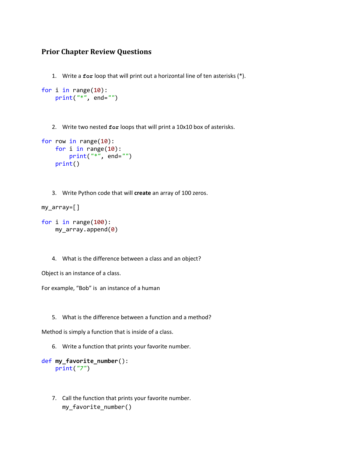## **Prior Chapter Review Questions**

1. Write a **for** loop that will print out a horizontal line of ten asterisks (\*).

```
for i in range(10):
     print("*", end="")
```
2. Write two nested **for** loops that will print a 10x10 box of asterisks.

```
for row in range(10):
     for i in range(10):
         print("*", end="")
     print()
```
3. Write Python code that will **create** an array of 100 zeros.

```
my_array=[]
```

```
for i in range(100):
     my_array.append(0)
```
4. What is the difference between a class and an object?

Object is an instance of a class.

For example, "Bob" is an instance of a human

5. What is the difference between a function and a method?

Method is simply a function that is inside of a class.

6. Write a function that prints your favorite number.

```
def my_favorite_number():
     print("7")
```
7. Call the function that prints your favorite number. my\_favorite\_number()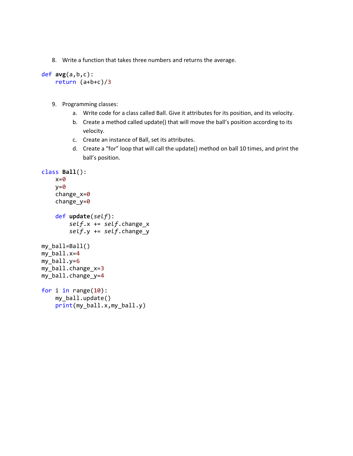8. Write a function that takes three numbers and returns the average.

```
def avg(a,b,c):
     return (a+b+c)/3
```
- 9. Programming classes:
	- a. Write code for a class called Ball. Give it attributes for its position, and its velocity.
	- b. Create a method called update() that will move the ball's position according to its velocity.
	- c. Create an instance of Ball, set its attributes.
	- d. Create a "for" loop that will call the update() method on ball 10 times, and print the ball's position.

```
class Ball():
    x=0y=0change x=0 change_y=0
     def update(self):
         self.x += self.change_x
         self.y += self.change_y
my_ball=Ball()
my_ball.x=4
my_ball.y=6
my ball.change x=3my_ball.change_y=4
for i in range(10):
     my_ball.update()
     print(my_ball.x,my_ball.y)
```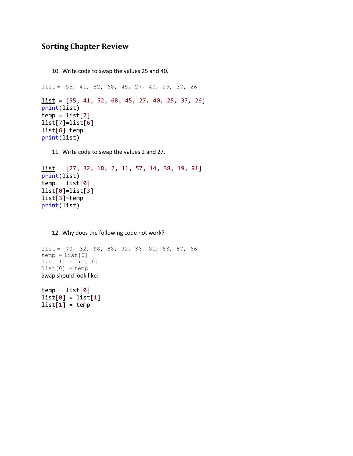## **Sorting Chapter Review**

10. Write code to swap the values 25 and 40.

```
list = [55, 41, 52, 68, 45, 27, 40, 25, 37, 26]list = [55, 41, 52, 68, 45, 27, 40, 25, 37, 26]print(list)
temp = list[7]list[7]=list[6]
list[6]=temp
print(list)
```
11. Write code to swap the values 2 and 27.

```
list = [27, 32, 18, 2, 11, 57, 14, 38, 19, 91]print(list)
temp = list[0]list[0]=list[3]
list[3]=temp
print(list)
```
12. Why does the following code not work?

```
list = [70, 32, 98, 88, 92, 36, 81, 83, 87, 66]
temp = list[0]list[1] = list[0]list[0] = tempSwap should look like:
```

```
temp = list[0]list[0] = list[1]list[1] = temp
```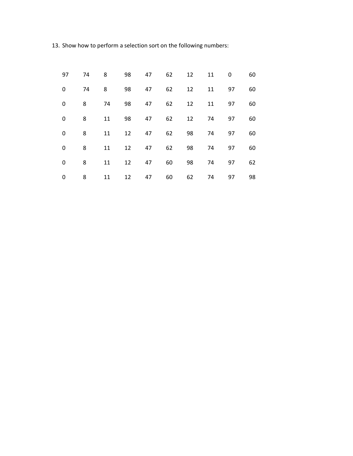13. Show how to perform a selection sort on the following numbers:

| 97 | 74 | 8  | 98 | 47 | 62 | 12 | 11 | 0  | 60 |
|----|----|----|----|----|----|----|----|----|----|
| 0  | 74 | 8  | 98 | 47 | 62 | 12 | 11 | 97 | 60 |
| 0  | 8  | 74 | 98 | 47 | 62 | 12 | 11 | 97 | 60 |
| 0  | 8  | 11 | 98 | 47 | 62 | 12 | 74 | 97 | 60 |
| 0  | 8  | 11 | 12 | 47 | 62 | 98 | 74 | 97 | 60 |
| 0  | 8  | 11 | 12 | 47 | 62 | 98 | 74 | 97 | 60 |
| 0  | 8  | 11 | 12 | 47 | 60 | 98 | 74 | 97 | 62 |
| 0  | 8  | 11 | 12 | 47 | 60 | 62 | 74 | 97 | 98 |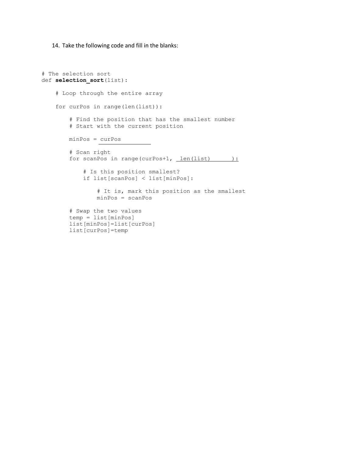14. Take the following code and fill in the blanks:

```
# The selection sort
def selection sort(list):
     # Loop through the entire array
     for curPos in range(len(list)):
         # Find the position that has the smallest number
         # Start with the current position
         minPos = curPos
         # Scan right
        for scanPos in range(curPos+1, len(list) ):
             # Is this position smallest?
             if list[scanPos] < list[minPos]:
                 # It is, mark this position as the smallest
                 minPos = scanPos
         # Swap the two values
         temp = list[minPos]
         list[minPos]=list[curPos]
         list[curPos]=temp
```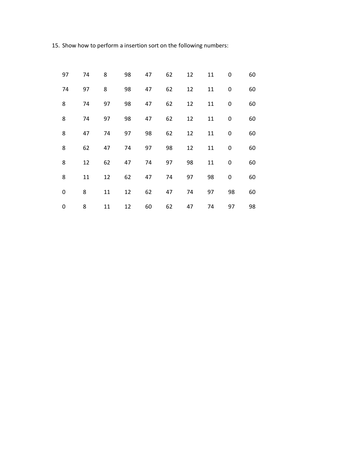15. Show how to perform a insertion sort on the following numbers:

| 97 | 74 | 8  | 98 | 47 | 62 | 12 | 11 | 0           | 60 |
|----|----|----|----|----|----|----|----|-------------|----|
| 74 | 97 | 8  | 98 | 47 | 62 | 12 | 11 | 0           | 60 |
| 8  | 74 | 97 | 98 | 47 | 62 | 12 | 11 | 0           | 60 |
| 8  | 74 | 97 | 98 | 47 | 62 | 12 | 11 | 0           | 60 |
| 8  | 47 | 74 | 97 | 98 | 62 | 12 | 11 | 0           | 60 |
| 8  | 62 | 47 | 74 | 97 | 98 | 12 | 11 | 0           | 60 |
| 8  | 12 | 62 | 47 | 74 | 97 | 98 | 11 | $\mathbf 0$ | 60 |
| 8  | 11 | 12 | 62 | 47 | 74 | 97 | 98 | $\mathbf 0$ | 60 |
| 0  | 8  | 11 | 12 | 62 | 47 | 74 | 97 | 98          | 60 |
| 0  | 8  | 11 | 12 | 60 | 62 | 47 | 74 | 97          | 98 |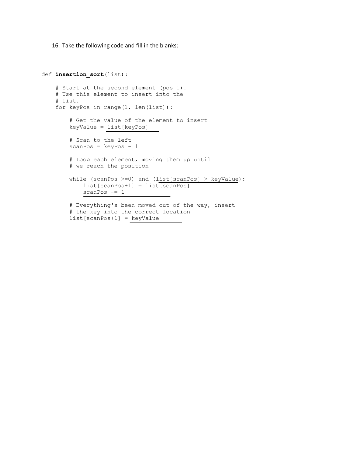16. Take the following code and fill in the blanks:

```
def insertion_sort(list):
     # Start at the second element (pos 1).
     # Use this element to insert into the
     # list.
     for keyPos in range(1, len(list)):
         # Get the value of the element to insert
         keyValue = list[keyPos]
         # Scan to the left
        scanPos = keyPos - 1 # Loop each element, moving them up until
         # we reach the position
        while (scanPos >=0) and (list[scanPos] > keyValue):
             list[scanPos+1] = list[scanPos]
             scanPos -= 1
         # Everything's been moved out of the way, insert
         # the key into the correct location
         list[scanPos+1] = keyValue
```